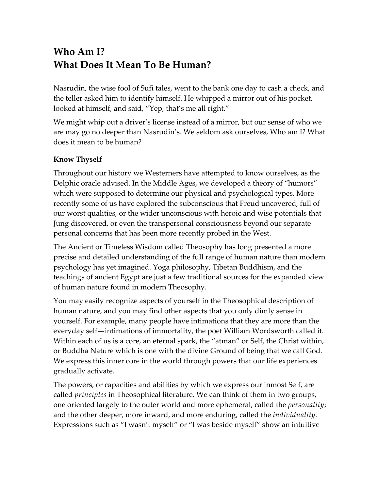# **Who Am I? What Does It Mean To Be Human?**

Nasrudin, the wise fool of Sufi tales, went to the bank one day to cash a check, and the teller asked him to identify himself. He whipped a mirror out of his pocket, looked at himself, and said, "Yep, that's me all right."

We might whip out a driver's license instead of a mirror, but our sense of who we are may go no deeper than Nasrudin's. We seldom ask ourselves, Who am I? What does it mean to be human?

### **Know Thyself**

Throughout our history we Westerners have attempted to know ourselves, as the Delphic oracle advised. In the Middle Ages, we developed a theory of "humors" which were supposed to determine our physical and psychological types. More recently some of us have explored the subconscious that Freud uncovered, full of our worst qualities, or the wider unconscious with heroic and wise potentials that Jung discovered, or even the transpersonal consciousness beyond our separate personal concerns that has been more recently probed in the West.

The Ancient or Timeless Wisdom called Theosophy has long presented a more precise and detailed understanding of the full range of human nature than modern psychology has yet imagined. Yoga philosophy, Tibetan Buddhism, and the teachings of ancient Egypt are just a few traditional sources for the expanded view of human nature found in modern Theosophy.

You may easily recognize aspects of yourself in the Theosophical description of human nature, and you may find other aspects that you only dimly sense in yourself. For example, many people have intimations that they are more than the everyday self—intimations of immortality, the poet William Wordsworth called it. Within each of us is a core, an eternal spark, the "atman" or Self, the Christ within, or Buddha Nature which is one with the divine Ground of being that we call God. We express this inner core in the world through powers that our life experiences gradually activate.

The powers, or capacities and abilities by which we express our inmost Self, are called *principles* in Theosophical literature. We can think of them in two groups, one oriented largely to the outer world and more ephemeral, called the *personality*; and the other deeper, more inward, and more enduring, called the *individuality*. Expressions such as "I wasn't myself" or "I was beside myself" show an intuitive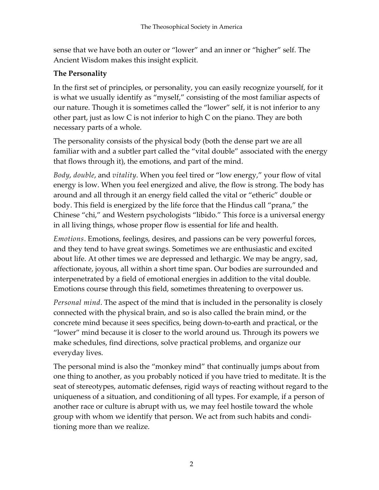sense that we have both an outer or "lower" and an inner or "higher" self. The Ancient Wisdom makes this insight explicit.

## **The Personality**

In the first set of principles, or personality, you can easily recognize yourself, for it is what we usually identify as "myself," consisting of the most familiar aspects of our nature. Though it is sometimes called the "lower" self, it is not inferior to any other part, just as low C is not inferior to high C on the piano. They are both necessary parts of a whole.

The personality consists of the physical body (both the dense part we are all familiar with and a subtler part called the "vital double" associated with the energy that flows through it), the emotions, and part of the mind.

*Body*, *double*, and *vitality*. When you feel tired or "low energy," your flow of vital energy is low. When you feel energized and alive, the flow is strong. The body has around and all through it an energy field called the vital or "etheric" double or body. This field is energized by the life force that the Hindus call "prana," the Chinese "chi," and Western psychologists "libido." This force is a universal energy in all living things, whose proper flow is essential for life and health.

*Emotions*. Emotions, feelings, desires, and passions can be very powerful forces, and they tend to have great swings. Sometimes we are enthusiastic and excited about life. At other times we are depressed and lethargic. We may be angry, sad, affectionate, joyous, all within a short time span. Our bodies are surrounded and interpenetrated by a field of emotional energies in addition to the vital double. Emotions course through this field, sometimes threatening to overpower us.

*Personal mind*. The aspect of the mind that is included in the personality is closely connected with the physical brain, and so is also called the brain mind, or the concrete mind because it sees specifics, being down-to-earth and practical, or the "lower" mind because it is closer to the world around us. Through its powers we make schedules, find directions, solve practical problems, and organize our everyday lives.

The personal mind is also the "monkey mind" that continually jumps about from one thing to another, as you probably noticed if you have tried to meditate. It is the seat of stereotypes, automatic defenses, rigid ways of reacting without regard to the uniqueness of a situation, and conditioning of all types. For example, if a person of another race or culture is abrupt with us, we may feel hostile toward the whole group with whom we identify that person. We act from such habits and conditioning more than we realize.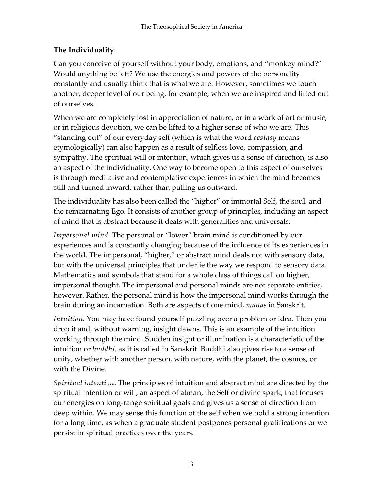# **The Individuality**

Can you conceive of yourself without your body, emotions, and "monkey mind?" Would anything be left? We use the energies and powers of the personality constantly and usually think that is what we are. However, sometimes we touch another, deeper level of our being, for example, when we are inspired and lifted out of ourselves.

When we are completely lost in appreciation of nature, or in a work of art or music, or in religious devotion, we can be lifted to a higher sense of who we are. This "standing out" of our everyday self (which is what the word *ecstasy* means etymologically) can also happen as a result of selfless love, compassion, and sympathy. The spiritual will or intention, which gives us a sense of direction, is also an aspect of the individuality. One way to become open to this aspect of ourselves is through meditative and contemplative experiences in which the mind becomes still and turned inward, rather than pulling us outward.

The individuality has also been called the "higher" or immortal Self, the soul, and the reincarnating Ego. It consists of another group of principles, including an aspect of mind that is abstract because it deals with generalities and universals.

*Impersonal mind*. The personal or "lower" brain mind is conditioned by our experiences and is constantly changing because of the influence of its experiences in the world. The impersonal, "higher," or abstract mind deals not with sensory data, but with the universal principles that underlie the way we respond to sensory data. Mathematics and symbols that stand for a whole class of things call on higher, impersonal thought. The impersonal and personal minds are not separate entities, however. Rather, the personal mind is how the impersonal mind works through the brain during an incarnation. Both are aspects of one mind, *manas* in Sanskrit.

*Intuition*. You may have found yourself puzzling over a problem or idea. Then you drop it and, without warning, insight dawns. This is an example of the intuition working through the mind. Sudden insight or illumination is a characteristic of the intuition or *buddhi*, as it is called in Sanskrit. Buddhi also gives rise to a sense of unity, whether with another person, with nature, with the planet, the cosmos, or with the Divine.

*Spiritual intention*. The principles of intuition and abstract mind are directed by the spiritual intention or will, an aspect of atman, the Self or divine spark, that focuses our energies on long-range spiritual goals and gives us a sense of direction from deep within. We may sense this function of the self when we hold a strong intention for a long time, as when a graduate student postpones personal gratifications or we persist in spiritual practices over the years.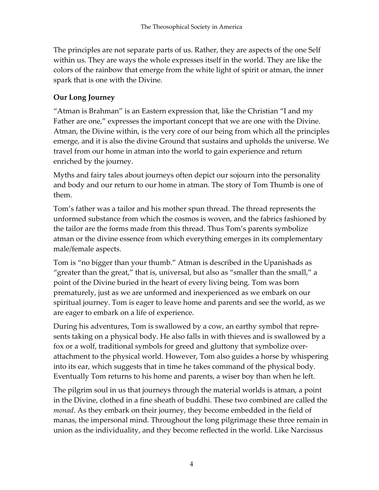The principles are not separate parts of us. Rather, they are aspects of the one Self within us. They are ways the whole expresses itself in the world. They are like the colors of the rainbow that emerge from the white light of spirit or atman, the inner spark that is one with the Divine.

## **Our Long Journey**

"Atman is Brahman" is an Eastern expression that, like the Christian "I and my Father are one," expresses the important concept that we are one with the Divine. Atman, the Divine within, is the very core of our being from which all the principles emerge, and it is also the divine Ground that sustains and upholds the universe. We travel from our home in atman into the world to gain experience and return enriched by the journey.

Myths and fairy tales about journeys often depict our sojourn into the personality and body and our return to our home in atman. The story of Tom Thumb is one of them.

Tom's father was a tailor and his mother spun thread. The thread represents the unformed substance from which the cosmos is woven, and the fabrics fashioned by the tailor are the forms made from this thread. Thus Tom's parents symbolize atman or the divine essence from which everything emerges in its complementary male/female aspects.

Tom is "no bigger than your thumb." Atman is described in the Upanishads as "greater than the great," that is, universal, but also as "smaller than the small," a point of the Divine buried in the heart of every living being. Tom was born prematurely, just as we are unformed and inexperienced as we embark on our spiritual journey. Tom is eager to leave home and parents and see the world, as we are eager to embark on a life of experience.

During his adventures, Tom is swallowed by a cow, an earthy symbol that represents taking on a physical body. He also falls in with thieves and is swallowed by a fox or a wolf, traditional symbols for greed and gluttony that symbolize overattachment to the physical world. However, Tom also guides a horse by whispering into its ear, which suggests that in time he takes command of the physical body. Eventually Tom returns to his home and parents, a wiser boy than when he left.

The pilgrim soul in us that journeys through the material worlds is atman, a point in the Divine, clothed in a fine sheath of buddhi. These two combined are called the *monad*. As they embark on their journey, they become embedded in the field of manas, the impersonal mind. Throughout the long pilgrimage these three remain in union as the individuality, and they become reflected in the world. Like Narcissus